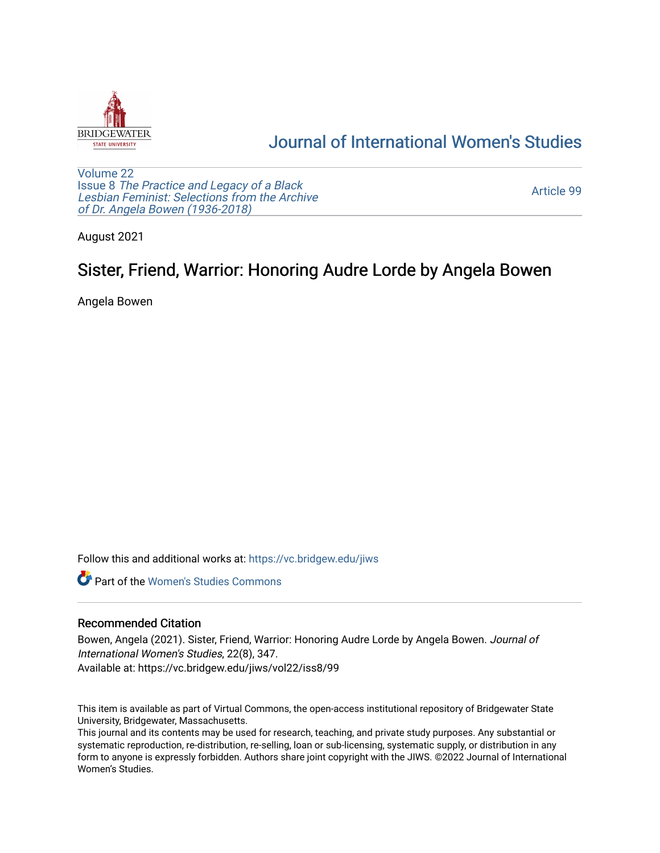

## [Journal of International Women's Studies](https://vc.bridgew.edu/jiws)

[Volume 22](https://vc.bridgew.edu/jiws/vol22) Issue 8 [The Practice and Legacy of a Black](https://vc.bridgew.edu/jiws/vol22/iss8)  [Lesbian Feminist: Selections from the Archive](https://vc.bridgew.edu/jiws/vol22/iss8)  [of Dr. Angela Bowen \(1936-2018\)](https://vc.bridgew.edu/jiws/vol22/iss8)

[Article 99](https://vc.bridgew.edu/jiws/vol22/iss8/99) 

August 2021

## Sister, Friend, Warrior: Honoring Audre Lorde by Angela Bowen

Angela Bowen

Follow this and additional works at: [https://vc.bridgew.edu/jiws](https://vc.bridgew.edu/jiws?utm_source=vc.bridgew.edu%2Fjiws%2Fvol22%2Fiss8%2F99&utm_medium=PDF&utm_campaign=PDFCoverPages)

**C** Part of the Women's Studies Commons

## Recommended Citation

Bowen, Angela (2021). Sister, Friend, Warrior: Honoring Audre Lorde by Angela Bowen. Journal of International Women's Studies, 22(8), 347. Available at: https://vc.bridgew.edu/jiws/vol22/iss8/99

This item is available as part of Virtual Commons, the open-access institutional repository of Bridgewater State University, Bridgewater, Massachusetts.

This journal and its contents may be used for research, teaching, and private study purposes. Any substantial or systematic reproduction, re-distribution, re-selling, loan or sub-licensing, systematic supply, or distribution in any form to anyone is expressly forbidden. Authors share joint copyright with the JIWS. ©2022 Journal of International Women's Studies.